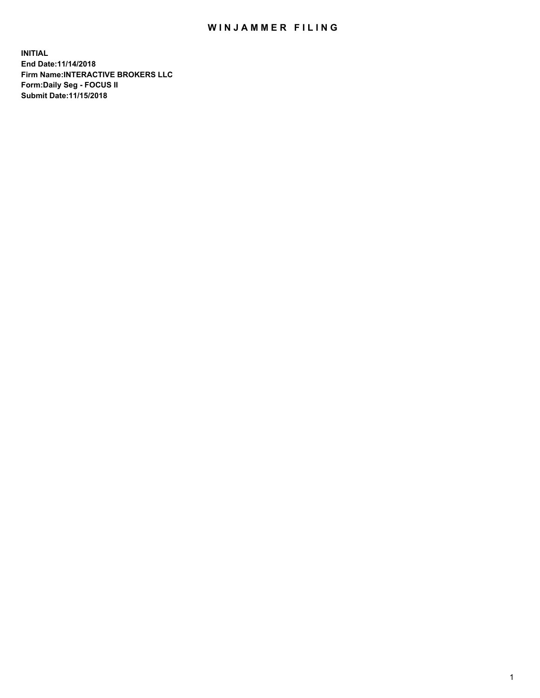## WIN JAMMER FILING

**INITIAL End Date:11/14/2018 Firm Name:INTERACTIVE BROKERS LLC Form:Daily Seg - FOCUS II Submit Date:11/15/2018**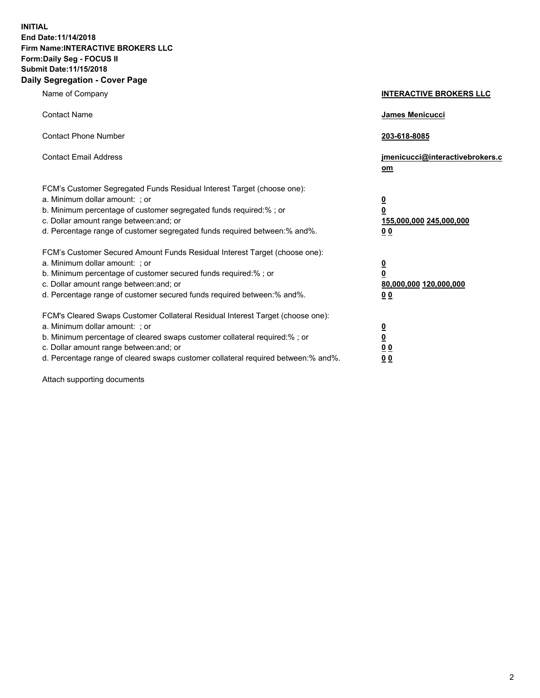**INITIAL End Date:11/14/2018 Firm Name:INTERACTIVE BROKERS LLC Form:Daily Seg - FOCUS II Submit Date:11/15/2018 Daily Segregation - Cover Page**

| Name of Company                                                                                                                                                                                                                                                                                                                | <b>INTERACTIVE BROKERS LLC</b>                                                                 |
|--------------------------------------------------------------------------------------------------------------------------------------------------------------------------------------------------------------------------------------------------------------------------------------------------------------------------------|------------------------------------------------------------------------------------------------|
| <b>Contact Name</b>                                                                                                                                                                                                                                                                                                            | James Menicucci                                                                                |
| <b>Contact Phone Number</b>                                                                                                                                                                                                                                                                                                    | 203-618-8085                                                                                   |
| <b>Contact Email Address</b>                                                                                                                                                                                                                                                                                                   | jmenicucci@interactivebrokers.c<br>om                                                          |
| FCM's Customer Segregated Funds Residual Interest Target (choose one):<br>a. Minimum dollar amount: : or<br>b. Minimum percentage of customer segregated funds required:% ; or<br>c. Dollar amount range between: and; or<br>d. Percentage range of customer segregated funds required between:% and%.                         | $\overline{\mathbf{0}}$<br>$\overline{\mathbf{0}}$<br>155,000,000 245,000,000<br>00            |
| FCM's Customer Secured Amount Funds Residual Interest Target (choose one):<br>a. Minimum dollar amount: ; or<br>b. Minimum percentage of customer secured funds required:%; or<br>c. Dollar amount range between: and; or<br>d. Percentage range of customer secured funds required between:% and%.                            | $\overline{\mathbf{0}}$<br>$\overline{\mathbf{0}}$<br>80,000,000 120,000,000<br>0 <sub>0</sub> |
| FCM's Cleared Swaps Customer Collateral Residual Interest Target (choose one):<br>a. Minimum dollar amount: ; or<br>b. Minimum percentage of cleared swaps customer collateral required:% ; or<br>c. Dollar amount range between: and; or<br>d. Percentage range of cleared swaps customer collateral required between:% and%. | $\frac{0}{0}$<br>0 <sub>0</sub><br>0 <sub>0</sub>                                              |

Attach supporting documents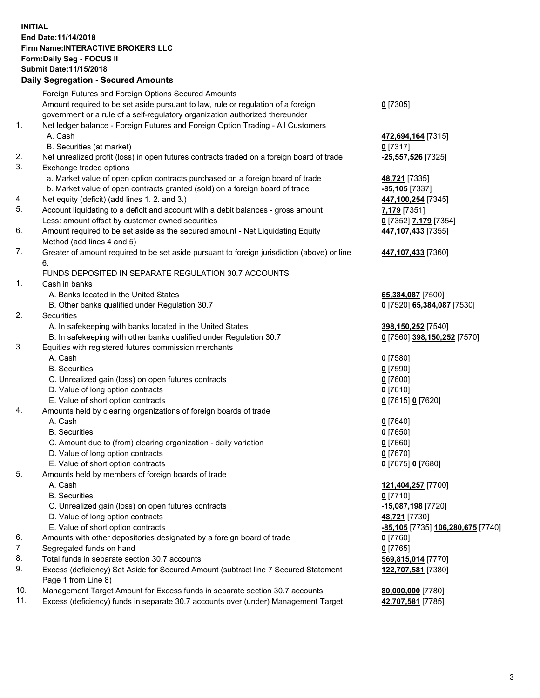## **INITIAL End Date:11/14/2018 Firm Name:INTERACTIVE BROKERS LLC Form:Daily Seg - FOCUS II Submit Date:11/15/2018 Daily Segregation - Secured Amounts**

|     | Daily Segregation - Secured Amounts                                                               |                                          |
|-----|---------------------------------------------------------------------------------------------------|------------------------------------------|
|     | Foreign Futures and Foreign Options Secured Amounts                                               |                                          |
|     | Amount required to be set aside pursuant to law, rule or regulation of a foreign                  | $0$ [7305]                               |
|     | government or a rule of a self-regulatory organization authorized thereunder                      |                                          |
| 1.  | Net ledger balance - Foreign Futures and Foreign Option Trading - All Customers                   |                                          |
|     | A. Cash                                                                                           | 472,694,164 [7315]                       |
|     | B. Securities (at market)                                                                         | $0$ [7317]                               |
| 2.  | Net unrealized profit (loss) in open futures contracts traded on a foreign board of trade         | -25,557,526 [7325]                       |
| 3.  | Exchange traded options                                                                           |                                          |
|     | a. Market value of open option contracts purchased on a foreign board of trade                    | 48,721 [7335]                            |
|     | b. Market value of open contracts granted (sold) on a foreign board of trade                      | -85,105 [7337]                           |
| 4.  | Net equity (deficit) (add lines 1. 2. and 3.)                                                     | 447,100,254 [7345]                       |
| 5.  | Account liquidating to a deficit and account with a debit balances - gross amount                 | 7,179 [7351]                             |
|     | Less: amount offset by customer owned securities                                                  | 0 [7352] 7,179 [7354]                    |
| 6.  | Amount required to be set aside as the secured amount - Net Liquidating Equity                    | 447,107,433 [7355]                       |
|     | Method (add lines 4 and 5)                                                                        |                                          |
| 7.  | Greater of amount required to be set aside pursuant to foreign jurisdiction (above) or line<br>6. | 447,107,433 [7360]                       |
|     | FUNDS DEPOSITED IN SEPARATE REGULATION 30.7 ACCOUNTS                                              |                                          |
| 1.  | Cash in banks                                                                                     |                                          |
|     | A. Banks located in the United States                                                             | 65,384,087 [7500]                        |
|     | B. Other banks qualified under Regulation 30.7                                                    | 0 [7520] 65,384,087 [7530]               |
| 2.  | Securities                                                                                        |                                          |
|     | A. In safekeeping with banks located in the United States                                         | 398,150,252 [7540]                       |
|     | B. In safekeeping with other banks qualified under Regulation 30.7                                | 0 [7560] 398,150,252 [7570]              |
| 3.  | Equities with registered futures commission merchants                                             |                                          |
|     | A. Cash                                                                                           | $0$ [7580]                               |
|     | <b>B.</b> Securities                                                                              | $0$ [7590]                               |
|     | C. Unrealized gain (loss) on open futures contracts                                               | $0$ [7600]                               |
|     | D. Value of long option contracts                                                                 | $0$ [7610]                               |
|     | E. Value of short option contracts                                                                | 0 [7615] 0 [7620]                        |
| 4.  | Amounts held by clearing organizations of foreign boards of trade                                 |                                          |
|     | A. Cash                                                                                           | $0$ [7640]                               |
|     | <b>B.</b> Securities                                                                              | $0$ [7650]                               |
|     | C. Amount due to (from) clearing organization - daily variation                                   | $0$ [7660]                               |
|     | D. Value of long option contracts                                                                 | $0$ [7670]                               |
|     | E. Value of short option contracts                                                                | 0 [7675] 0 [7680]                        |
| 5.  | Amounts held by members of foreign boards of trade                                                |                                          |
|     | A. Cash                                                                                           | 121,404,257 [7700]                       |
|     | <b>B.</b> Securities                                                                              | $0$ [7710]                               |
|     | C. Unrealized gain (loss) on open futures contracts                                               | -15,087,198 [7720]                       |
|     | D. Value of long option contracts                                                                 | 48,721 [7730]                            |
|     | E. Value of short option contracts                                                                | <u>-85,105</u> [7735] 106,280,675 [7740] |
| 6.  | Amounts with other depositories designated by a foreign board of trade                            | 0 [7760]                                 |
| 7.  | Segregated funds on hand                                                                          | $0$ [7765]                               |
| 8.  | Total funds in separate section 30.7 accounts                                                     | 569,815,014 [7770]                       |
| 9.  | Excess (deficiency) Set Aside for Secured Amount (subtract line 7 Secured Statement               | 122,707,581 [7380]                       |
|     | Page 1 from Line 8)                                                                               |                                          |
| 10. | Management Target Amount for Excess funds in separate section 30.7 accounts                       | 80,000,000 [7780]                        |
| 11. | Excess (deficiency) funds in separate 30.7 accounts over (under) Management Target                | 42,707,581 [7785]                        |
|     |                                                                                                   |                                          |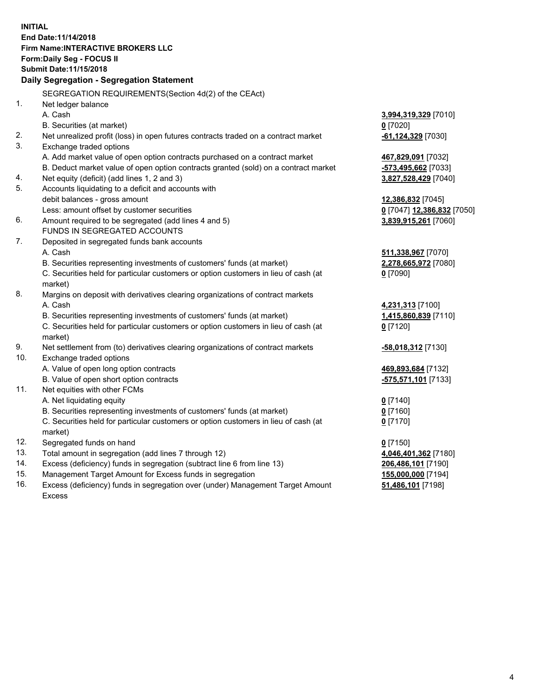**INITIAL End Date:11/14/2018 Firm Name:INTERACTIVE BROKERS LLC Form:Daily Seg - FOCUS II Submit Date:11/15/2018 Daily Segregation - Segregation Statement** SEGREGATION REQUIREMENTS(Section 4d(2) of the CEAct) 1. Net ledger balance A. Cash **3,994,319,329** [7010] B. Securities (at market) **0** [7020] 2. Net unrealized profit (loss) in open futures contracts traded on a contract market **-61,124,329** [7030] 3. Exchange traded options A. Add market value of open option contracts purchased on a contract market **467,829,091** [7032] B. Deduct market value of open option contracts granted (sold) on a contract market **-573,495,662** [7033] 4. Net equity (deficit) (add lines 1, 2 and 3) **3,827,528,429** [7040] 5. Accounts liquidating to a deficit and accounts with debit balances - gross amount **12,386,832** [7045] Less: amount offset by customer securities **0** [7047] **12,386,832** [7050] 6. Amount required to be segregated (add lines 4 and 5) **3,839,915,261** [7060] FUNDS IN SEGREGATED ACCOUNTS 7. Deposited in segregated funds bank accounts A. Cash **511,338,967** [7070] B. Securities representing investments of customers' funds (at market) **2,278,665,972** [7080] C. Securities held for particular customers or option customers in lieu of cash (at market) **0** [7090] 8. Margins on deposit with derivatives clearing organizations of contract markets A. Cash **4,231,313** [7100] B. Securities representing investments of customers' funds (at market) **1,415,860,839** [7110] C. Securities held for particular customers or option customers in lieu of cash (at market) **0** [7120] 9. Net settlement from (to) derivatives clearing organizations of contract markets **-58,018,312** [7130] 10. Exchange traded options A. Value of open long option contracts **469,893,684** [7132] B. Value of open short option contracts **-575,571,101** [7133] 11. Net equities with other FCMs A. Net liquidating equity **0** [7140] B. Securities representing investments of customers' funds (at market) **0** [7160] C. Securities held for particular customers or option customers in lieu of cash (at market) **0** [7170] 12. Segregated funds on hand **0** [7150] 13. Total amount in segregation (add lines 7 through 12) **4,046,401,362** [7180] 14. Excess (deficiency) funds in segregation (subtract line 6 from line 13) **206,486,101** [7190] 15. Management Target Amount for Excess funds in segregation **155,000,000** [7194]

16. Excess (deficiency) funds in segregation over (under) Management Target Amount Excess

**51,486,101** [7198]